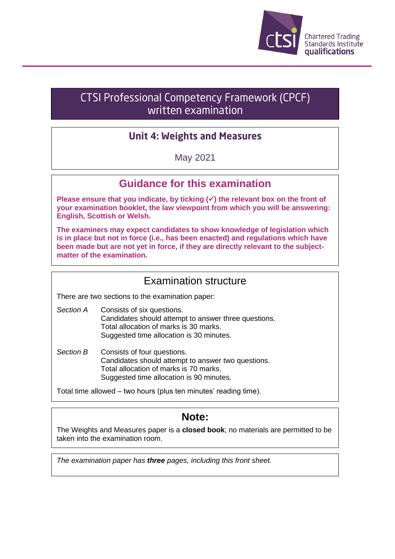

# **CTSI Professional Competency Framework (CPCF)** written examination

# **Unit 4: Weights and Measures**

## May 2021

# **Guidance for this examination**

**Please ensure that you indicate, by ticking (**✓**) the relevant box on the front of your examination booklet, the law viewpoint from which you will be answering: English, Scottish or Welsh.**

**The examiners may expect candidates to show knowledge of legislation which is in place but not in force (i.e., has been enacted) and regulations which have been made but are not yet in force, if they are directly relevant to the subjectmatter of the examination.**

# Examination structure

There are two sections to the examination paper:

- *Section A* Consists of six questions. Candidates should attempt to answer three questions. Total allocation of marks is 30 marks. Suggested time allocation is 30 minutes.
- *Section B* Consists of four questions. Candidates should attempt to answer two questions. Total allocation of marks is 70 marks. Suggested time allocation is 90 minutes.

Total time allowed – two hours (plus ten minutes' reading time).

# **Note:**

The Weights and Measures paper is a **closed book**; no materials are permitted to be taken into the examination room.

*The examination paper has three pages, including this front sheet.*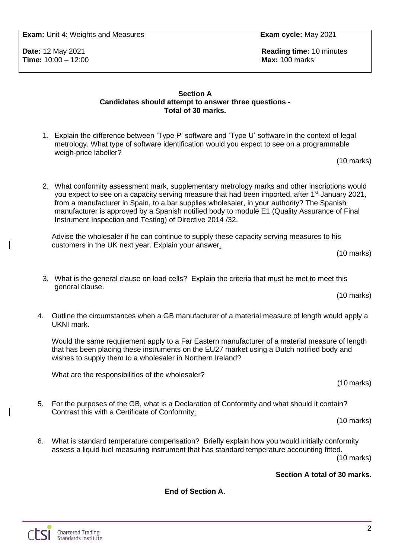**Exam:** Unit 4: Weights and Measures **Exam cycle:** May 2021

**Time:** 10:00 – 12:00 **Max:** 100 marks

**Date:** 12 May 2021 **Reading time:** 10 minutes

### **Section A Candidates should attempt to answer three questions - Total of 30 marks.**

1. Explain the difference between 'Type P' software and 'Type U' software in the context of legal metrology. What type of software identification would you expect to see on a programmable weigh-price labeller?

(10 marks)

2. What conformity assessment mark, supplementary metrology marks and other inscriptions would you expect to see on a capacity serving measure that had been imported, after 1<sup>st</sup> January 2021, from a manufacturer in Spain, to a bar supplies wholesaler, in your authority? The Spanish manufacturer is approved by a Spanish notified body to module E1 (Quality Assurance of Final Instrument Inspection and Testing) of Directive 2014 /32.

Advise the wholesaler if he can continue to supply these capacity serving measures to his customers in the UK next year. Explain your answer.

(10 marks)

- 3. What is the general clause on load cells? Explain the criteria that must be met to meet this general clause. (10 marks)
- 4. Outline the circumstances when a GB manufacturer of a material measure of length would apply a UKNI mark.

Would the same requirement apply to a Far Eastern manufacturer of a material measure of length that has been placing these instruments on the EU27 market using a Dutch notified body and wishes to supply them to a wholesaler in Northern Ireland?

What are the responsibilities of the wholesaler?

5. For the purposes of the GB, what is a Declaration of Conformity and what should it contain? Contrast this with a Certificate of Conformity.

(10 marks)

(10 marks)

6. What is standard temperature compensation? Briefly explain how you would initially conformity assess a liquid fuel measuring instrument that has standard temperature accounting fitted.

(10 marks)

## **Section A total of 30 marks.**

**End of Section A.**